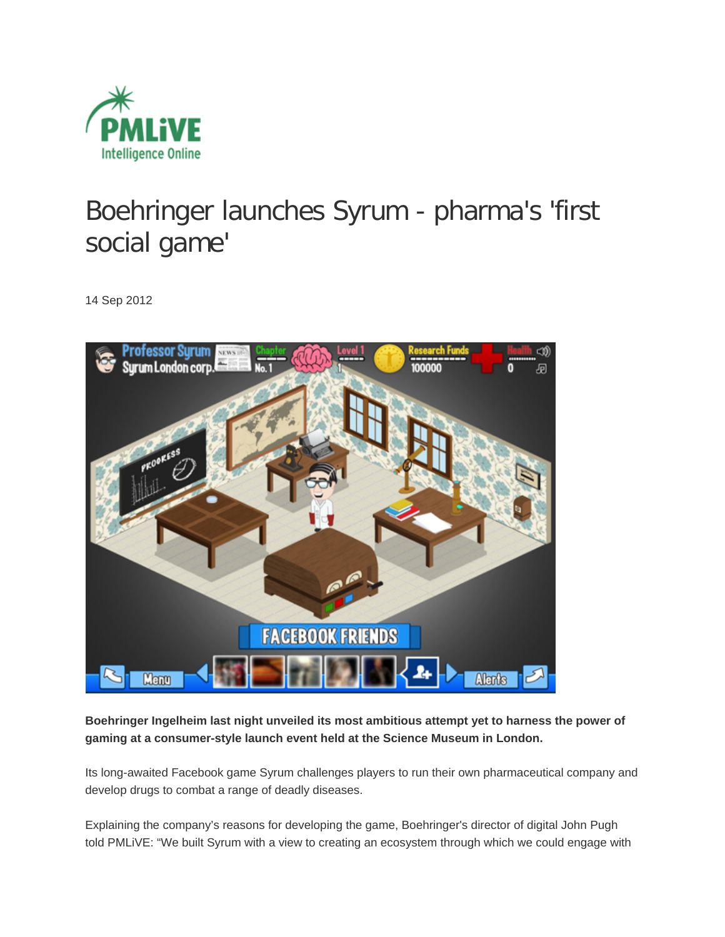

## [Boehringer launches Syrum -](http://www.pmlive.com/digital_intelligence_blog/archive/2012/sep_2012/boehringer_ingelheim_facebook_game_syrum_pharma_social) pharma's 'first [social game'](http://www.pmlive.com/digital_intelligence_blog/archive/2012/sep_2012/boehringer_ingelheim_facebook_game_syrum_pharma_social)

14 Sep 201[2](http://www.pmlive.com/digital_intelligence_blog/archive/2012/sep_2012/boehringer_ingelheim_facebook_game_syrum_pharma_social)



**Boehringer Ingelheim last night unveiled its most ambitious attempt yet to harness the power of gaming at a consumer-style launch event held at the Science Museum in London.**

Its long-awaited Facebook game Syrum challenges players to run their own pharmaceutical company and develop drugs to combat a range of deadly diseases.

Explaining the company's reasons for developing the game, Boehringer's director of digital John Pugh told PMLiVE: "We built Syrum with a view to creating an ecosystem through which we could engage with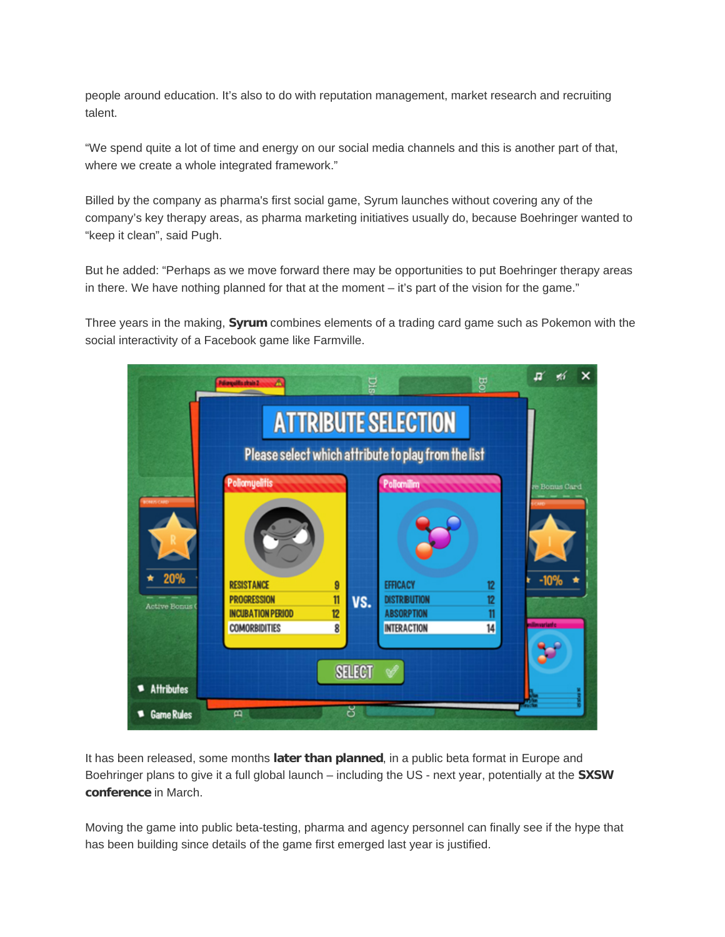people around education. It's also to do with reputation management, market research and recruiting talent.

"We spend quite a lot of time and energy on our social media channels and this is another part of that, where we create a whole integrated framework."

Billed by the company as pharma's first social game, Syrum launches without covering any of the company's key therapy areas, as pharma marketing initiatives usually do, because Boehringer wanted to "keep it clean", said Pugh.

But he added: "Perhaps as we move forward there may be opportunities to put Boehringer therapy areas in there. We have nothing planned for that at the moment – it's part of the vision for the game."

Three years in the making, **[Syrum](http://syrum-game.com/)** combines elements of a trading card game such as Pokemon with the social interactivity of a Facebook game like Farmville.



It has been released, some months **[later than planned](http://www.pmlive.com/digital_intelligence_blog/archive/2012/jan_2012/boehringer_facebook_game_syrum)**, in a public beta format in Europe and Boehringer plans to give it a full global launch – including the US - next year, potentially at the **[SXSW](http://sxsw.com/)  [conference](http://sxsw.com/)** in March.

Moving the game into public beta-testing, pharma and agency personnel can finally see if the hype that has been building since details of the game first emerged last year is justified.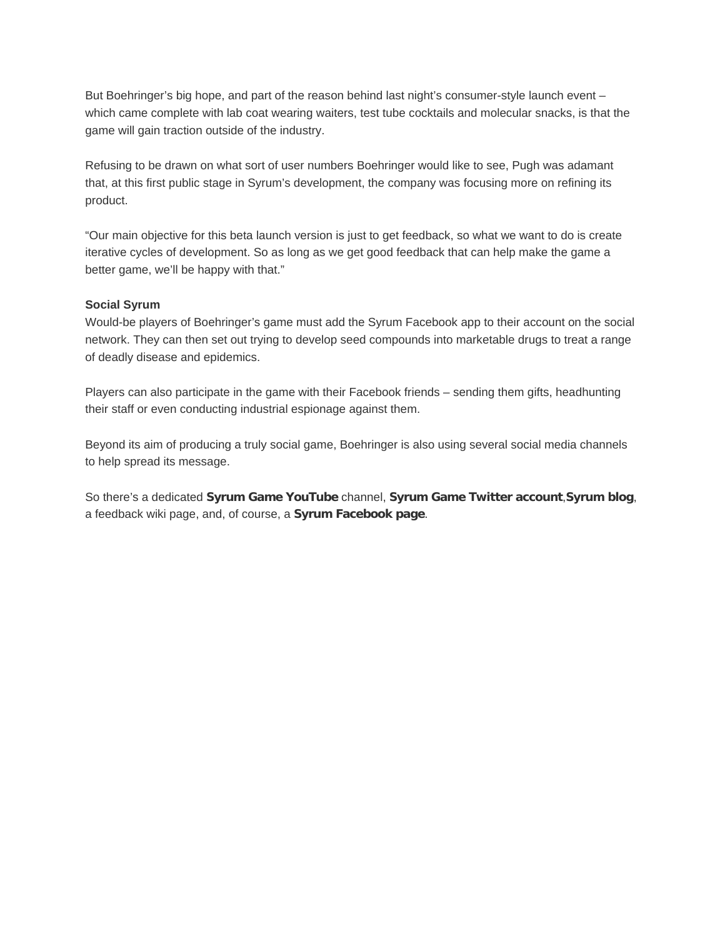But Boehringer's big hope, and part of the reason behind last night's consumer-style launch event which came complete with lab coat wearing waiters, test tube cocktails and molecular snacks, is that the game will gain traction outside of the industry.

Refusing to be drawn on what sort of user numbers Boehringer would like to see, Pugh was adamant that, at this first public stage in Syrum's development, the company was focusing more on refining its product.

"Our main objective for this beta launch version is just to get feedback, so what we want to do is create iterative cycles of development. So as long as we get good feedback that can help make the game a better game, we'll be happy with that."

## **Social Syrum**

Would-be players of Boehringer's game must add the Syrum Facebook app to their account on the social network. They can then set out trying to develop seed compounds into marketable drugs to treat a range of deadly disease and epidemics.

Players can also participate in the game with their Facebook friends – sending them gifts, headhunting their staff or even conducting industrial espionage against them.

Beyond its aim of producing a truly social game, Boehringer is also using several social media channels to help spread its message.

So there's a dedicated **[Syrum Game YouTube](http://www.youtube.com/user/syrumgame)** channel, **[Syrum Game Twitter account](https://twitter.com/Syrumgame)**,**[Syrum blog](http://syrum-game.com/blogs)**, a feedback wiki page, and, of course, a **[Syrum Facebook page](http://www.facebook.com/syrum.game)**.